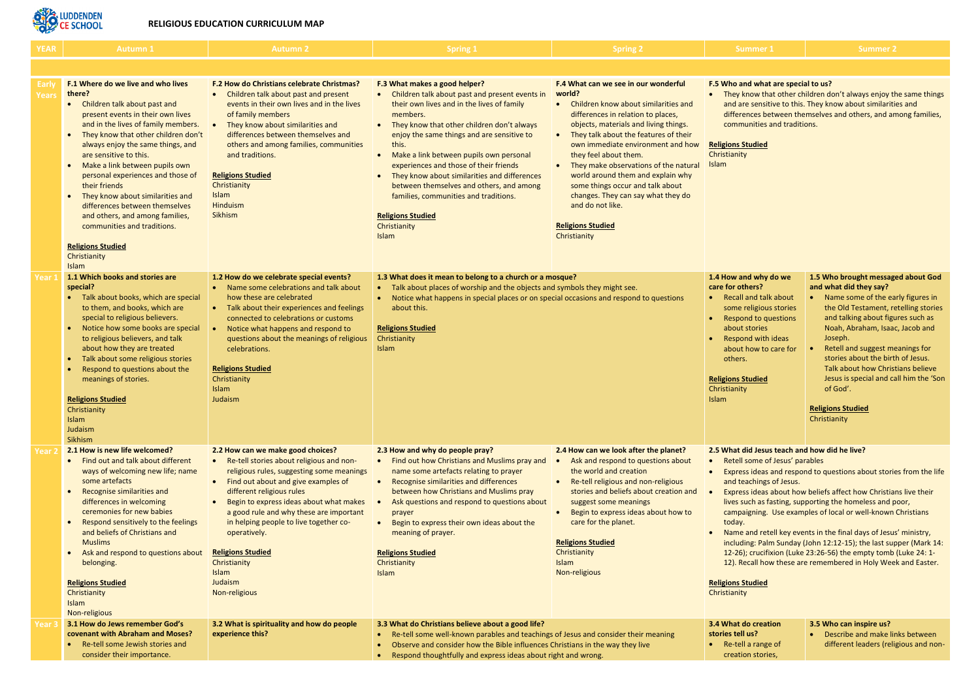

## **RELIGIOUS EDUCATION CURRICULUM MAP**

# **do creation stories tell us?**

ell a range of tion stories,

| <b>YEAR</b>                  | <b>Autumn 1</b>                                                                                                                                                                                                                                                                                                                                                                                                                                                                                                                                                                                                       | <b>Autumn 2</b>                                                                                                                                                                                                                                                                                                                                                                                                                                           | Spring 1                                                                                                                                                                                                                                                                                                                                                                                                                                                                                                                                                                    | <b>Spring 2</b>                                                                                                                                                                                                                                                                                                                                                                                                                                                                                                   | Summer                                                                                                                                                                                                                                                        |
|------------------------------|-----------------------------------------------------------------------------------------------------------------------------------------------------------------------------------------------------------------------------------------------------------------------------------------------------------------------------------------------------------------------------------------------------------------------------------------------------------------------------------------------------------------------------------------------------------------------------------------------------------------------|-----------------------------------------------------------------------------------------------------------------------------------------------------------------------------------------------------------------------------------------------------------------------------------------------------------------------------------------------------------------------------------------------------------------------------------------------------------|-----------------------------------------------------------------------------------------------------------------------------------------------------------------------------------------------------------------------------------------------------------------------------------------------------------------------------------------------------------------------------------------------------------------------------------------------------------------------------------------------------------------------------------------------------------------------------|-------------------------------------------------------------------------------------------------------------------------------------------------------------------------------------------------------------------------------------------------------------------------------------------------------------------------------------------------------------------------------------------------------------------------------------------------------------------------------------------------------------------|---------------------------------------------------------------------------------------------------------------------------------------------------------------------------------------------------------------------------------------------------------------|
|                              |                                                                                                                                                                                                                                                                                                                                                                                                                                                                                                                                                                                                                       |                                                                                                                                                                                                                                                                                                                                                                                                                                                           |                                                                                                                                                                                                                                                                                                                                                                                                                                                                                                                                                                             |                                                                                                                                                                                                                                                                                                                                                                                                                                                                                                                   |                                                                                                                                                                                                                                                               |
| <b>Early</b><br><b>Years</b> | <b>F.1 Where do we live and who lives</b><br>there?<br>Children talk about past and<br>$\bullet$<br>present events in their own lives<br>and in the lives of family members.<br>They know that other children don't<br>$\bullet$<br>always enjoy the same things, and<br>are sensitive to this.<br>Make a link between pupils own<br>$\bullet$<br>personal experiences and those of<br>their friends<br>They know about similarities and<br>$\bullet$<br>differences between themselves<br>and others, and among families,<br>communities and traditions.<br><b>Religions Studied</b><br>Christianity<br><b>Islam</b> | <b>F.2 How do Christians celebrate Christmas?</b><br>Children talk about past and present<br>$\bullet$<br>events in their own lives and in the lives<br>of family members<br>They know about similarities and<br>$\bullet$<br>differences between themselves and<br>others and among families, communities<br>and traditions.<br><b>Religions Studied</b><br>Christianity<br><b>Islam</b><br>Hinduism<br><b>Sikhism</b>                                   | F.3 What makes a good helper?<br>Children talk about past and present events in<br>$\bullet$<br>their own lives and in the lives of family<br>members.<br>They know that other children don't always<br>$\bullet$<br>enjoy the same things and are sensitive to<br>this.<br>Make a link between pupils own personal<br>$\bullet$<br>experiences and those of their friends<br>They know about similarities and differences<br>between themselves and others, and among<br>families, communities and traditions.<br><b>Religions Studied</b><br>Christianity<br><b>Islam</b> | F.4 What can we see in our wonderful<br>world?<br>Children know about similarities and<br>$\bullet$<br>differences in relation to places,<br>objects, materials and living things.<br>They talk about the features of their<br>own immediate environment and how<br>they feel about them.<br>They make observations of the natural<br>world around them and explain why<br>some things occur and talk about<br>changes. They can say what they do<br>and do not like.<br><b>Religions Studied</b><br>Christianity | F.5 Who and wha<br>They know th<br>$\bullet$<br>and are sensi<br>differences b<br>communities<br><b>Religions Studied</b><br>Christianity<br><b>Islam</b>                                                                                                     |
| Year 1                       | 1.1 Which books and stories are<br>special?<br>Talk about books, which are special<br>to them, and books, which are<br>special to religious believers.<br>Notice how some books are special<br>$\bullet$<br>to religious believers, and talk<br>about how they are treated<br>Talk about some religious stories<br>$\bullet$<br>Respond to questions about the<br>$\bullet$<br>meanings of stories.<br><b>Religions Studied</b><br>Christianity<br><b>Islam</b><br>Judaism<br>Sikhism                                                                                                                                 | 1.2 How do we celebrate special events?<br>Name some celebrations and talk about<br>how these are celebrated<br>• Talk about their experiences and feelings<br>connected to celebrations or customs<br>Notice what happens and respond to<br>$\bullet$<br>questions about the meanings of religious<br>celebrations.<br><b>Religions Studied</b><br>Christianity<br>Islam<br>Judaism                                                                      | 1.3 What does it mean to belong to a church or a mosque?<br>Talk about places of worship and the objects and symbols they might see.<br>Notice what happens in special places or on special occasions and respond to questions<br>about this.<br><b>Religions Studied</b><br>Christianity<br><b>Islam</b>                                                                                                                                                                                                                                                                   |                                                                                                                                                                                                                                                                                                                                                                                                                                                                                                                   | 1.4 How and why<br>care for others?<br><b>Recall and ta</b><br>some religiou<br>Respond to q<br>about stories<br><b>Respond with</b><br>about how to<br>others.<br><b>Religions Studied</b><br>Christianity<br>Islam                                          |
| Year :                       | 2.1 How is new life welcomed?<br>Find out and talk about different<br>$\bullet$<br>ways of welcoming new life; name<br>some artefacts<br>Recognise similarities and<br>$\bullet$<br>differences in welcoming<br>ceremonies for new babies<br>Respond sensitively to the feelings<br>$\bullet$<br>and beliefs of Christians and<br><b>Muslims</b><br>Ask and respond to questions about<br>$\bullet$<br>belonging.<br><b>Religions Studied</b><br>Christianity<br>Islam<br>Non-religious                                                                                                                               | 2.2 How can we make good choices?<br>Re-tell stories about religious and non-<br>religious rules, suggesting some meanings<br>Find out about and give examples of<br>$\bullet$<br>different religious rules<br>Begin to express ideas about what makes<br>$\bullet$<br>a good rule and why these are important<br>in helping people to live together co-<br>operatively.<br><b>Religions Studied</b><br>Christianity<br>Islam<br>Judaism<br>Non-religious | 2.3 How and why do people pray?<br>Find out how Christians and Muslims pray and<br>name some artefacts relating to prayer<br>Recognise similarities and differences<br>$\bullet$<br>between how Christians and Muslims pray<br>Ask questions and respond to questions about<br>prayer<br>Begin to express their own ideas about the<br>meaning of prayer.<br><b>Religions Studied</b><br>Christianity<br><b>Islam</b>                                                                                                                                                       | 2.4 How can we look after the planet?<br>Ask and respond to questions about<br>the world and creation<br>Re-tell religious and non-religious<br>$\bullet$<br>stories and beliefs about creation and<br>suggest some meanings<br>Begin to express ideas about how to<br>$\bullet$<br>care for the planet.<br><b>Religions Studied</b><br>Christianity<br>Islam<br>Non-religious                                                                                                                                    | 2.5 What did Jesu<br>Retell some o<br><b>Express ideas</b><br>and teaching<br><b>Express ideas</b><br>lives such as<br>campaigning<br>today.<br>Name and re<br>including: Pal<br>12-26); crucif<br>12). Recall ho<br><b>Religions Studied</b><br>Christianity |
| <b>Year</b>                  | 3.1 How do Jews remember God's<br>covenant with Abraham and Moses?<br>Re-tell some Jewish stories and<br>consider their importance.                                                                                                                                                                                                                                                                                                                                                                                                                                                                                   | 3.2 What is spirituality and how do people<br>experience this?                                                                                                                                                                                                                                                                                                                                                                                            | 3.3 What do Christians believe about a good life?<br>Re-tell some well-known parables and teachings of Jesus and consider their meaning<br>Observe and consider how the Bible influences Christians in the way they live<br>Respond thoughtfully and express ideas about right and wrong.                                                                                                                                                                                                                                                                                   |                                                                                                                                                                                                                                                                                                                                                                                                                                                                                                                   | 3.4 What do crea<br>stories tell us?<br>Re-tell a rang<br>creation stor                                                                                                                                                                                       |

#### **A.5 A.5 Marks and what are special to us?**

know that other children don't always enjoy the same things are sensitive to this. They know about similarities and rences between themselves and others, and among families, munities and traditions.

#### **Studied**

| 1.4 How and why do we<br>care for others?<br>Recall and talk about<br>$\bullet$<br>some religious stories<br>Respond to questions<br>$\bullet$<br>about stories<br>Respond with ideas<br>$\bullet$<br>about how to care for<br>others. | 1.5 Who brought messaged about God<br>and what did they say?<br>Name some of the early figures in<br>۰<br>the Old Testament, retelling stories<br>and talking about figures such as<br>Noah, Abraham, Isaac, Jacob and<br>Joseph.<br>Retell and suggest meanings for<br>stories about the birth of Jesus.<br>Talk about how Christians believe |
|----------------------------------------------------------------------------------------------------------------------------------------------------------------------------------------------------------------------------------------|------------------------------------------------------------------------------------------------------------------------------------------------------------------------------------------------------------------------------------------------------------------------------------------------------------------------------------------------|
| <b>Religions Studied</b><br>Christianity<br>Islam                                                                                                                                                                                      | Jesus is special and call him the 'Son<br>of God'.<br><b>Religions Studied</b><br>Christianity                                                                                                                                                                                                                                                 |

# **2.6 did Jesus teach and how did he live?**

Il some of Jesus' parables

ess ideas and respond to questions about stories from the life teachings of Jesus.

ess ideas about how beliefs affect how Christians live their such as fasting, supporting the homeless and poor, paigning. Use examples of local or well-known Christians

e and retell key events in the final days of Jesus' ministry, ding: Palm Sunday (John 12:12-15); the last supper (Mark 14: 6); crucifixion (Luke 23:26-56) the empty tomb (Luke 24: 1- $^{\circ}$ Recall how these are remembered in Holy Week and Easter.

# **Studied**

### **3.5 Who can inspire us?** • Describe and make links between different leaders (religious and non-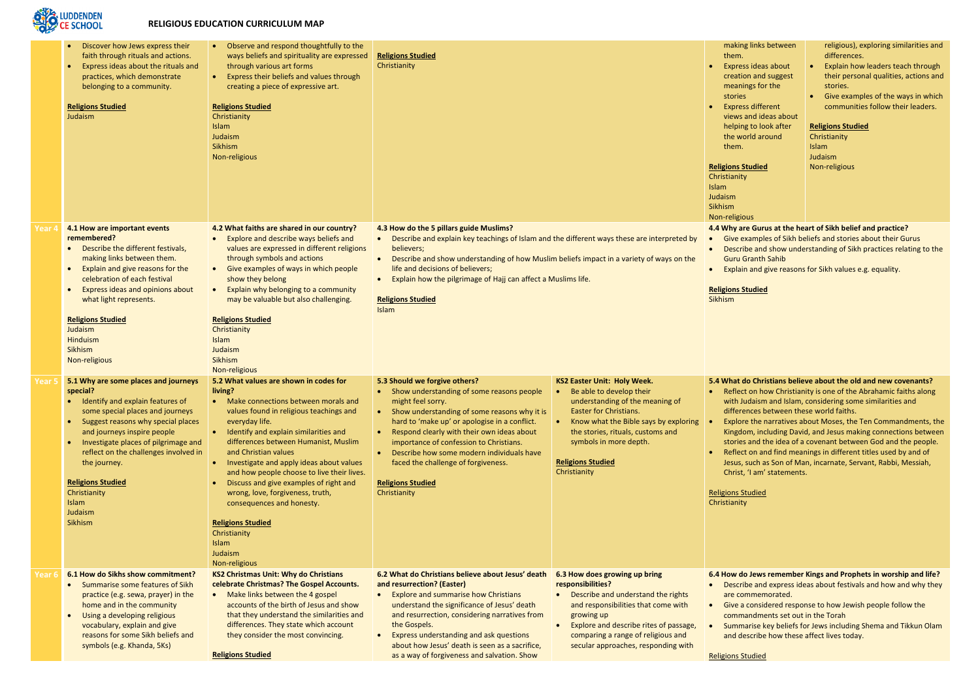

### **RELIGIOUS EDUCATION CURRICULUM MAP**

| making links between     | religi           |
|--------------------------|------------------|
| them.                    | differ           |
| Express ideas about      | Expla            |
| creation and suggest     | their            |
| meanings for the         | storie           |
| stories                  | Give             |
| <b>Express different</b> | comr             |
| views and ideas about    |                  |
| helping to look after    | <b>Religions</b> |
| the world around         | Christiani       |
| them.                    | <b>Islam</b>     |
|                          | Judaism          |
| <b>Religions Studied</b> | Non-religi       |
| Christianity             |                  |
| ممدداءا                  |                  |

ious), exploring similarities and rences.

- in how leaders teach through personal qualities, actions and  $\mathbf{s}$
- examples of the ways in which munities follow their leaders.

#### **Studied**

tv ious

#### gious

**are Gurus at the heart of Sikh belief and practice?** 

**EXAMPLER 6 AMPLE EXAMPLE EXAMPLES ADOCT SHEET GUTES** cribe and show understanding of Sikh practices relating to the u Granth Sahib

lain and give reasons for Sikh values e.g. equality.

### **<u>s Studied</u>**

**5.4 What do Christians believe about the old and new covenants?** ect on how Christianity is one of the Abrahamic faiths along I Judaism and Islam, considering some similarities and erences between these world faiths.

lore the narratives about Moses, the Ten Commandments, the dom, including David, and Jesus making connections between ies and the idea of a covenant between God and the people. ect on and find meanings in different titles used by and of is, such as Son of Man, incarnate, Servant, Rabbi, Messiah, ist, 'I am' statements.

**do Jews remember Kings and Prophets in worship and life?** cribe and express ideas about festivals and how and why they commemorated.

a considered response to how Jewish people follow the imandments set out in the Torah

imarise key beliefs for Jews including Shema and Tikkun Olam describe how these affect lives today.

| 4.1 How are important events<br>4.2 What faiths are shared in our country?<br>4.3 How do the 5 pillars guide Muslims?<br>4.4 Why are Guru<br>Year 4<br>remembered?<br>Explore and describe ways beliefs and<br>Describe and explain key teachings of Islam and the different ways these are interpreted by<br>Give example<br>$\bullet$<br>$\bullet$<br>Describe the different festivals,<br>values are expressed in different religions<br>believers;<br>Describe and<br>$\bullet$<br>$\bullet$<br>making links between them.<br>through symbols and actions<br>Describe and show understanding of how Muslim beliefs impact in a variety of ways on the<br><b>Guru Granth</b><br>$\bullet$<br>Explain and give reasons for the<br>Give examples of ways in which people<br>life and decisions of believers;<br>Explain and g<br>$\bullet$<br>celebration of each festival<br>show they belong<br>Explain how the pilgrimage of Hajj can affect a Muslims life.<br>Express ideas and opinions about<br>Explain why belonging to a community<br><b>Religions Studied</b><br>$\bullet$<br>what light represents.<br>may be valuable but also challenging.<br><b>Religions Studied</b><br>Sikhism<br>Islam<br><b>Religions Studied</b><br><b>Religions Studied</b><br><b>Judaism</b><br>Christianity<br>Hinduism<br><b>Islam</b><br><b>Sikhism</b><br>Judaism<br><b>Sikhism</b><br>Non-religious<br>Non-religious<br>5.1 Why are some places and journeys<br>5.2 What values are shown in codes for<br>5.3 Should we forgive others?<br>5.4 What do Chri<br><b>KS2 Easter Unit: Holy Week.</b><br>Year 5<br>living?<br>special?<br>• Show understanding of some reasons people<br>Be able to develop their<br>Reflect on ho<br>$\bullet$<br>Identify and explain features of<br>• Make connections between morals and<br>might feel sorry.<br>understanding of the meaning of<br>with Judaism<br>Easter for Christians.<br>differences b<br>some special places and journeys<br>values found in religious teachings and<br>• Show understanding of some reasons why it is<br>everyday life.<br>Suggest reasons why special places<br>hard to 'make up' or apologise in a conflict.<br>Know what the Bible says by exploring<br>Explore the n<br>$\bullet$<br>and journeys inspire people<br>Identify and explain similarities and<br>the stories, rituals, customs and<br>Respond clearly with their own ideas about<br>Kingdom, inc<br>$\bullet$<br>differences between Humanist, Muslim<br>symbols in more depth.<br>stories and th<br>importance of confession to Christians.<br>Investigate places of pilgrimage and<br>reflect on the challenges involved in<br>and Christian values<br>Reflect on an<br>Describe how some modern individuals have<br><b>Religions Studied</b><br>Investigate and apply ideas about values<br>faced the challenge of forgiveness.<br>the journey.<br>Jesus, such a<br>$\bullet$<br>Christianity<br>and how people choose to live their lives.<br>Christ, 'I am'<br><b>Religions Studied</b><br>Discuss and give examples of right and<br><b>Religions Studied</b><br><b>Religions Studied</b><br>Christianity<br>wrong, love, forgiveness, truth,<br>Christianity<br>Christianity<br>Islam<br>consequences and honesty.<br>Judaism<br>Sikhism<br><b>Religions Studied</b><br>Christianity<br><b>Islam</b><br>Judaism<br>Non-religious<br>6.1 How do Sikhs show commitment?<br><b>KS2 Christmas Unit: Why do Christians</b><br>6.2 What do Christians believe about Jesus' death<br>6.4 How do Jews<br>6.3 How does growing up bring<br>Year 6<br>Summarise some features of Sikh<br>celebrate Christmas? The Gospel Accounts.<br>and resurrection? (Easter)<br>responsibilities?<br>Describe and<br>• Make links between the 4 gospel<br><b>Explore and summarise how Christians</b><br>practice (e.g. sewa, prayer) in the<br>Describe and understand the rights<br>are commem<br>accounts of the birth of Jesus and show<br>home and in the community<br>understand the significance of Jesus' death<br>and responsibilities that come with<br>Give a consid<br>that they understand the similarities and<br>and resurrection, considering narratives from<br>Using a developing religious<br>growing up<br>commandme<br>$\bullet$<br>vocabulary, explain and give<br>differences. They state which account<br>the Gospels.<br>Explore and describe rites of passage,<br>Summarise k<br>they consider the most convincing.<br>reasons for some Sikh beliefs and<br>Express understanding and ask questions<br>comparing a range of religious and<br>and describe<br>symbols (e.g. Khanda, 5Ks)<br>about how Jesus' death is seen as a sacrifice,<br>secular approaches, responding with<br><b>Religions Studied</b><br>as a way of forgiveness and salvation. Show<br><b>Religions Studied</b> | Discover how Jews express their<br>faith through rituals and actions.<br>Express ideas about the rituals and<br>practices, which demonstrate<br>belonging to a community.<br><b>Religions Studied</b><br>Judaism | Observe and respond thoughtfully to the<br>$\bullet$<br>ways beliefs and spirituality are expressed<br>through various art forms<br>Express their beliefs and values through<br>$\bullet$<br>creating a piece of expressive art.<br><b>Religions Studied</b><br>Christianity<br>Islam<br>Judaism<br>Sikhism<br>Non-religious | <b>Religions Studied</b><br>Christianity |  | making links<br>them.<br><b>Express ideas</b><br>creation and<br>meanings for<br>stories<br><b>Express differ</b><br>views and ide<br>helping to loo<br>the world ard<br>them.<br><b>Religions Studied</b><br>Christianity<br><b>Islam</b><br>Judaism<br>Sikhism<br>Non-religious |
|-------------------------------------------------------------------------------------------------------------------------------------------------------------------------------------------------------------------------------------------------------------------------------------------------------------------------------------------------------------------------------------------------------------------------------------------------------------------------------------------------------------------------------------------------------------------------------------------------------------------------------------------------------------------------------------------------------------------------------------------------------------------------------------------------------------------------------------------------------------------------------------------------------------------------------------------------------------------------------------------------------------------------------------------------------------------------------------------------------------------------------------------------------------------------------------------------------------------------------------------------------------------------------------------------------------------------------------------------------------------------------------------------------------------------------------------------------------------------------------------------------------------------------------------------------------------------------------------------------------------------------------------------------------------------------------------------------------------------------------------------------------------------------------------------------------------------------------------------------------------------------------------------------------------------------------------------------------------------------------------------------------------------------------------------------------------------------------------------------------------------------------------------------------------------------------------------------------------------------------------------------------------------------------------------------------------------------------------------------------------------------------------------------------------------------------------------------------------------------------------------------------------------------------------------------------------------------------------------------------------------------------------------------------------------------------------------------------------------------------------------------------------------------------------------------------------------------------------------------------------------------------------------------------------------------------------------------------------------------------------------------------------------------------------------------------------------------------------------------------------------------------------------------------------------------------------------------------------------------------------------------------------------------------------------------------------------------------------------------------------------------------------------------------------------------------------------------------------------------------------------------------------------------------------------------------------------------------------------------------------------------------------------------------------------------------------------------------------------------------------------------------------------------------------------------------------------------------------------------------------------------------------------------------------------------------------------------------------------------------------------------------------------------------------------------------------------------------------------------------------------------------------------------------------------------------------------------------------------------------------------------------------------------------------------------------------------------------------------------------------------------------------------------------------------------------------------------------------------------------------------------------------------------------------------------------------------------------------------------------------------------------------------------------------------------------------------------------------------------------------------------------------------------------------------------------------------------------|------------------------------------------------------------------------------------------------------------------------------------------------------------------------------------------------------------------|------------------------------------------------------------------------------------------------------------------------------------------------------------------------------------------------------------------------------------------------------------------------------------------------------------------------------|------------------------------------------|--|-----------------------------------------------------------------------------------------------------------------------------------------------------------------------------------------------------------------------------------------------------------------------------------|
|                                                                                                                                                                                                                                                                                                                                                                                                                                                                                                                                                                                                                                                                                                                                                                                                                                                                                                                                                                                                                                                                                                                                                                                                                                                                                                                                                                                                                                                                                                                                                                                                                                                                                                                                                                                                                                                                                                                                                                                                                                                                                                                                                                                                                                                                                                                                                                                                                                                                                                                                                                                                                                                                                                                                                                                                                                                                                                                                                                                                                                                                                                                                                                                                                                                                                                                                                                                                                                                                                                                                                                                                                                                                                                                                                                                                                                                                                                                                                                                                                                                                                                                                                                                                                                                                                                                                                                                                                                                                                                                                                                                                                                                                                                                                                                                                                                     |                                                                                                                                                                                                                  |                                                                                                                                                                                                                                                                                                                              |                                          |  |                                                                                                                                                                                                                                                                                   |
|                                                                                                                                                                                                                                                                                                                                                                                                                                                                                                                                                                                                                                                                                                                                                                                                                                                                                                                                                                                                                                                                                                                                                                                                                                                                                                                                                                                                                                                                                                                                                                                                                                                                                                                                                                                                                                                                                                                                                                                                                                                                                                                                                                                                                                                                                                                                                                                                                                                                                                                                                                                                                                                                                                                                                                                                                                                                                                                                                                                                                                                                                                                                                                                                                                                                                                                                                                                                                                                                                                                                                                                                                                                                                                                                                                                                                                                                                                                                                                                                                                                                                                                                                                                                                                                                                                                                                                                                                                                                                                                                                                                                                                                                                                                                                                                                                                     |                                                                                                                                                                                                                  |                                                                                                                                                                                                                                                                                                                              |                                          |  |                                                                                                                                                                                                                                                                                   |
|                                                                                                                                                                                                                                                                                                                                                                                                                                                                                                                                                                                                                                                                                                                                                                                                                                                                                                                                                                                                                                                                                                                                                                                                                                                                                                                                                                                                                                                                                                                                                                                                                                                                                                                                                                                                                                                                                                                                                                                                                                                                                                                                                                                                                                                                                                                                                                                                                                                                                                                                                                                                                                                                                                                                                                                                                                                                                                                                                                                                                                                                                                                                                                                                                                                                                                                                                                                                                                                                                                                                                                                                                                                                                                                                                                                                                                                                                                                                                                                                                                                                                                                                                                                                                                                                                                                                                                                                                                                                                                                                                                                                                                                                                                                                                                                                                                     |                                                                                                                                                                                                                  |                                                                                                                                                                                                                                                                                                                              |                                          |  |                                                                                                                                                                                                                                                                                   |